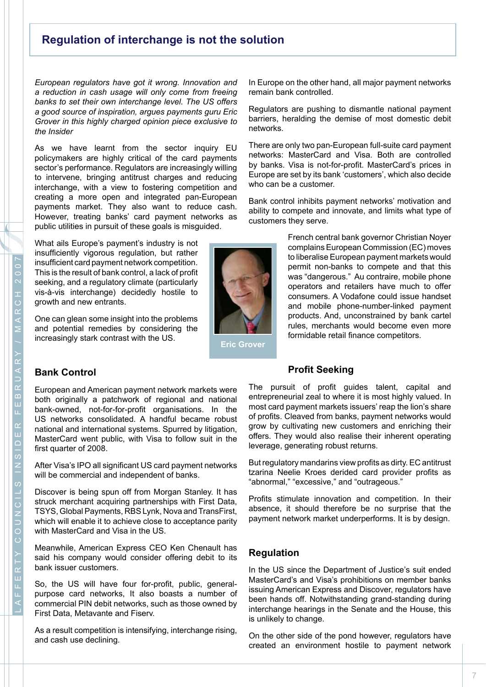# **Regulation of interchange is not the solution**

*European regulators have got it wrong. Innovation and a reduction in cash usage will only come from freeing banks to set their own interchange level. The US offers a good source of inspiration, argues payments guru Eric Grover in this highly charged opinion piece exclusive to the Insider*

As we have learnt from the sector inquiry EU policymakers are highly critical of the card payments sector's performance. Regulators are increasingly willing to intervene, bringing antitrust charges and reducing interchange, with a view to fostering competition and creating a more open and integrated pan-European payments market. They also want to reduce cash. However, treating banks' card payment networks as public utilities in pursuit of these goals is misguided.

What ails Europe's payment's industry is not insufficiently vigorous regulation, but rather insufficient card payment network competition. This is the result of bank control, a lack of profit seeking, and a regulatory climate (particularly vis-à-vis interchange) decidedly hostile to growth and new entrants.

One can glean some insight into the problems and potential remedies by considering the increasingly stark contrast with the US.



In Europe on the other hand, all major payment networks remain bank controlled.

Regulators are pushing to dismantle national payment barriers, heralding the demise of most domestic debit networks.

There are only two pan-European full-suite card payment networks: MasterCard and Visa. Both are controlled by banks. Visa is not-for-profit. MasterCard's prices in Europe are set by its bank 'customers', which also decide who can be a customer.

Bank control inhibits payment networks' motivation and ability to compete and innovate, and limits what type of customers they serve.

> French central bank governor Christian Noyer complainsEuropean Commission (EC) moves to liberalise European payment markets would permit non-banks to compete and that this was "dangerous." Au contraire, mobile phone operators and retailers have much to offer consumers. A Vodafone could issue handset and mobile phone-number-linked payment products. And, unconstrained by bank cartel rules, merchants would become even more formidable retail finance competitors.

### **Bank Control**

European and American payment network markets were both originally a patchwork of regional and national bank-owned, not-for-for-profit organisations. In the US networks consolidated. A handful became robust national and international systems. Spurred by litigation, MasterCard went public, with Visa to follow suit in the first quarter of 2008.

After Visa's IPO all significant US card payment networks will be commercial and independent of banks.

Discover is being spun off from Morgan Stanley. It has struck merchant acquiring partnerships with First Data, TSYS, Global Payments, RBS Lynk, Nova and TransFirst, which will enable it to achieve close to acceptance parity with MasterCard and Visa in the US.

Meanwhile, American Express CEO Ken Chenault has said his company would consider offering debit to its bank issuer customers.

So, the US will have four for-profit, public, generalpurpose card networks, It also boasts a number of commercial PIN debit networks, such as those owned by First Data, Metavante and Fiserv.

As a result competition is intensifying, interchange rising, and cash use declining.

#### **Profit Seeking**

The pursuit of profit guides talent, capital and entrepreneurial zeal to where it is most highly valued. In most card payment markets issuers' reap the lion's share of profits. Cleaved from banks, payment networks would grow by cultivating new customers and enriching their offers. They would also realise their inherent operating leverage, generating robust returns.

But regulatory mandarins view profits as dirty. EC antitrust tzarina Neelie Kroes derided card provider profits as "abnormal," "excessive," and "outrageous."

Profits stimulate innovation and competition. In their absence, it should therefore be no surprise that the payment network market underperforms. It is by design.

### **Regulation**

In the US since the Department of Justice's suit ended MasterCard's and Visa's prohibitions on member banks issuing American Express and Discover, regulators have been hands off. Notwithstanding grand-standing during interchange hearings in the Senate and the House, this is unlikely to change.

On the other side of the pond however, regulators have created an environment hostile to payment network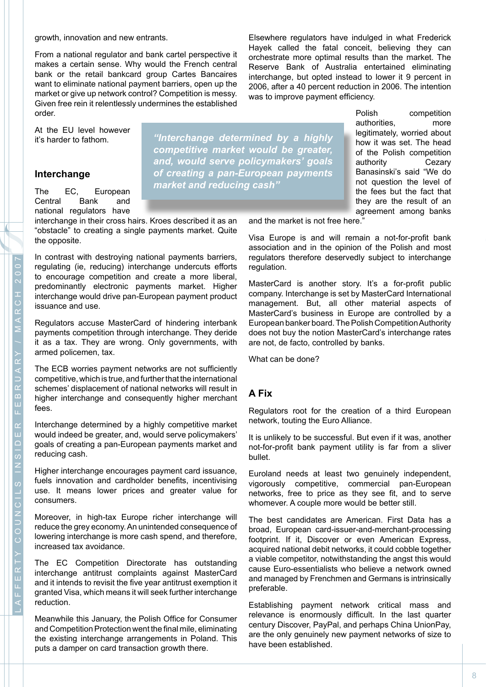From a national regulator and bank cartel perspective it makes a certain sense. Why would the French central bank or the retail bankcard group Cartes Bancaires want to eliminate national payment barriers, open up the market or give up network control? Competition is messy. Given free rein it relentlessly undermines the established order.

At the EU level however it's harder to fathom.

### **Interchange**

The EC, European Central Bank and national regulators have

interchange in their cross hairs. Kroes described it as an "obstacle" to creating a single payments market. Quite the opposite.

In contrast with destroying national payments barriers, regulating (ie, reducing) interchange undercuts efforts to encourage competition and create a more liberal, predominantly electronic payments market. Higher interchange would drive pan-European payment product issuance and use.

Regulators accuse MasterCard of hindering interbank payments competition through interchange. They deride it as a tax. They are wrong. Only governments, with armed policemen, tax.

The ECB worries payment networks are not sufficiently competitive, which is true, and further that the international schemes' displacement of national networks will result in higher interchange and consequently higher merchant fees.

Interchange determined by a highly competitive market would indeed be greater, and, would serve policymakers' goals of creating a pan-European payments market and reducing cash.

Higher interchange encourages payment card issuance, fuels innovation and cardholder benefits, incentivising use. It means lower prices and greater value for consumers.

Moreover, in high-tax Europe richer interchange will reduce the grey economy.An unintended consequence of lowering interchange is more cash spend, and therefore, increased tax avoidance.

The EC Competition Directorate has outstanding interchange antitrust complaints against MasterCard and it intends to revisit the five year antitrust exemption it granted Visa, which means it will seek further interchange reduction.

Meanwhile this January, the Polish Office for Consumer and Competition Protection went the final mile, eliminating the existing interchange arrangements in Poland. This puts a damper on card transaction growth there.

*"Interchange determined by a highly competitive market would be greater, and, would serve policymakers' goals of creating a pan-European payments market and reducing cash"*

Elsewhere regulators have indulged in what Frederick Hayek called the fatal conceit, believing they can orchestrate more optimal results than the market. The Reserve Bank of Australia entertained eliminating interchange, but opted instead to lower it 9 percent in 2006, after a 40 percent reduction in 2006. The intention was to improve payment efficiency.

> Polish competition authorities, more legitimately, worried about how it was set. The head of the Polish competition authority Cezary Banasinski's said "We do not question the level of the fees but the fact that they are the result of an agreement among banks

and the market is not free here."

Visa Europe is and will remain a not-for-profit bank association and in the opinion of the Polish and most regulators therefore deservedly subject to interchange regulation.

MasterCard is another story. It's a for-profit public company. Interchange is set by MasterCard International management. But, all other material aspects of MasterCard's business in Europe are controlled by a European banker board. The Polish Competition Authority does not buy the notion MasterCard's interchange rates are not, de facto, controlled by banks.

What can be done?

## **A Fix**

Regulators root for the creation of a third European network, touting the Euro Alliance.

It is unlikely to be successful. But even if it was, another not-for-profit bank payment utility is far from a sliver bullet.

Euroland needs at least two genuinely independent, vigorously competitive, commercial pan-European networks, free to price as they see fit, and to serve whomever. A couple more would be better still.

The best candidates are American. First Data has a broad, European card-issuer-and-merchant-processing footprint. If it, Discover or even American Express, acquired national debit networks, it could cobble together a viable competitor, notwithstanding the angst this would cause Euro-essentialists who believe a network owned and managed by Frenchmen and Germans is intrinsically preferable.

Establishing payment network critical mass and relevance is enormously difficult. In the last quarter century Discover, PayPal, and perhaps China UnionPay, are the only genuinely new payment networks of size to have been established.